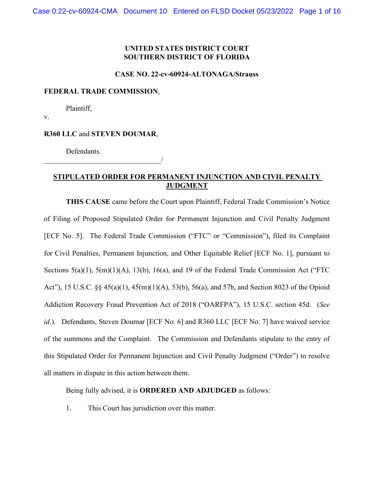## **UNITED STATES DISTRICT COURT SOUTHERN DISTRICT OF FLORIDA**

### **CASE NO. 22-cv-60924-ALTONAGA/Strauss**

### **FEDERAL TRADE COMMISSION**,

Plaintiff,

v.

### **R360 LLC** and **STEVEN DOUMAR**,

Defendants.

 $\overline{\phantom{a}}$ 

# **STIPULATED ORDER FOR PERMANENT INJUNCTION AND CIVIL PENALTY JUDGMENT**

 [ECF No. 5]. The Federal Trade Commission ("FTC" or "Commission"), filed its Complaint *id*.). Defendants, Steven Doumar [ECF No. 6] and R360 LLC [ECF No. 7] have waived service **THIS CAUSE** came before the Court upon Plaintiff, Federal Trade Commission's Notice of Filing of Proposed Stipulated Order for Permanent Injunction and Civil Penalty Judgment for Civil Penalties, Permanent Injunction, and Other Equitable Relief [ECF No. 1], pursuant to Sections  $5(a)(1)$ ,  $5(m)(1)(A)$ ,  $13(b)$ ,  $16(a)$ , and 19 of the Federal Trade Commission Act ("FTC Act"), 15 U.S.C. §§ 45(a)(1), 45(m)(1)(A), 53(b), 56(a), and 57b, and Section 8023 of the Opioid Addiction Recovery Fraud Prevention Act of 2018 ("OARFPA"), 15 U.S.C. section 45d. (*See*  of the summons and the Complaint. The Commission and Defendants stipulate to the entry of this Stipulated Order for Permanent Injunction and Civil Penalty Judgment ("Order") to resolve all matters in dispute in this action between them.

Being fully advised, it is **ORDERED AND ADJUDGED** as follows:

1. This Court has jurisdiction over this matter.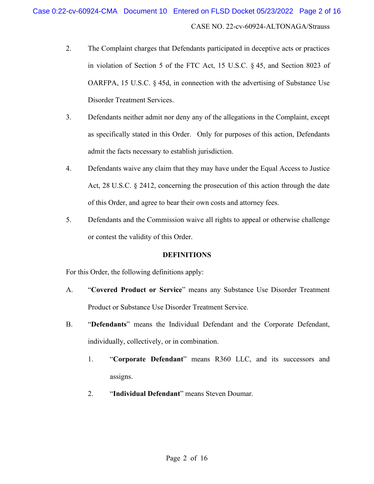- in violation of Section 5 of the FTC Act, 15 U.S.C. § 45, and Section 8023 of 2. The Complaint charges that Defendants participated in deceptive acts or practices OARFPA, 15 U.S.C. § 45d, in connection with the advertising of Substance Use Disorder Treatment Services.
- admit the facts necessary to establish jurisdiction. 3. Defendants neither admit nor deny any of the allegations in the Complaint, except as specifically stated in this Order. Only for purposes of this action, Defendants
- Act, 28 U.S.C. § 2412, concerning the prosecution of this action through the date of this Order, and agree to bear their own costs and attorney fees. 4. Defendants waive any claim that they may have under the Equal Access to Justice
- or contest the validity of this Order. 5. Defendants and the Commission waive all rights to appeal or otherwise challenge

# **DEFINITIONS**

For this Order, the following definitions apply:

- A. "**Covered Product or Service**" means any Substance Use Disorder Treatment Product or Substance Use Disorder Treatment Service.
- B. "**Defendants**" means the Individual Defendant and the Corporate Defendant, individually, collectively, or in combination.
	- 1. "**Corporate Defendant**" means R360 LLC, and its successors and assigns.
	- 2. "**Individual Defendant**" means Steven Doumar.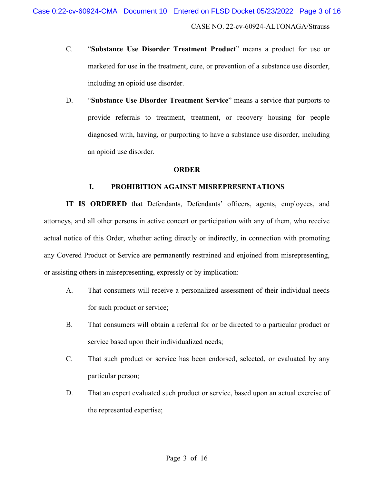- C. "**Substance Use Disorder Treatment Product**" means a product for use or marketed for use in the treatment, cure, or prevention of a substance use disorder, including an opioid use disorder.
- D. "**Substance Use Disorder Treatment Service**" means a service that purports to provide referrals to treatment, treatment, or recovery housing for people diagnosed with, having, or purporting to have a substance use disorder, including an opioid use disorder.

## **ORDER**

#### **I**. **I. PROHIBITION AGAINST MISREPRESENTATIONS**

or assisting others in misrepresenting, expressly or by implication: **IT IS ORDERED** that Defendants, Defendants' officers, agents, employees, and attorneys, and all other persons in active concert or participation with any of them, who receive actual notice of this Order, whether acting directly or indirectly, in connection with promoting any Covered Product or Service are permanently restrained and enjoined from misrepresenting,

- A. That consumers will receive a personalized assessment of their individual needs for such product or service;
- B. That consumers will obtain a referral for or be directed to a particular product or service based upon their individualized needs;
- C. That such product or service has been endorsed, selected, or evaluated by any particular person;
- D. That an expert evaluated such product or service, based upon an actual exercise of the represented expertise;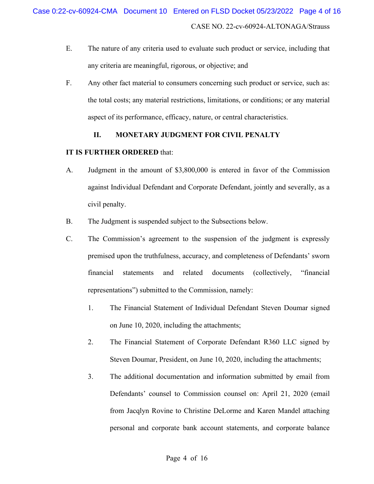- E. The nature of any criteria used to evaluate such product or service, including that any criteria are meaningful, rigorous, or objective; and
- F. Any other fact material to consumers concerning such product or service, such as: aspect of its performance, efficacy, nature, or central characteristics. the total costs; any material restrictions, limitations, or conditions; or any material

#### **II. II. MONETARY JUDGMENT FOR CIVIL PENALTY**

# **IT IS FURTHER ORDERED** that:

- A. Judgment in the amount of \$3,800,000 is entered in favor of the Commission against Individual Defendant and Corporate Defendant, jointly and severally, as a civil penalty.
- B. The Judgment is suspended subject to the Subsections below.
- C. The Commission's agreement to the suspension of the judgment is expressly premised upon the truthfulness, accuracy, and completeness of Defendants' sworn financial statements and related documents (collectively, "financial representations") submitted to the Commission, namely:
	- 1. The Financial Statement of Individual Defendant Steven Doumar signed on June 10, 2020, including the attachments;
	- 2. The Financial Statement of Corporate Defendant R360 LLC signed by Steven Doumar, President, on June 10, 2020, including the attachments;
	- Defendants' counsel to Commission counsel on: April 21, 2020 (email personal and corporate bank account statements, and corporate balance 3. The additional documentation and information submitted by email from from Jacqlyn Rovine to Christine DeLorme and Karen Mandel attaching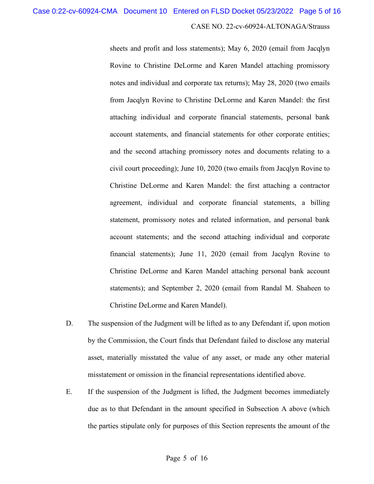account statements, and financial statements for other corporate entities; sheets and profit and loss statements); May 6, 2020 (email from Jacqlyn Rovine to Christine DeLorme and Karen Mandel attaching promissory notes and individual and corporate tax returns); May 28, 2020 (two emails from Jacqlyn Rovine to Christine DeLorme and Karen Mandel: the first attaching individual and corporate financial statements, personal bank and the second attaching promissory notes and documents relating to a civil court proceeding); June 10, 2020 (two emails from Jacqlyn Rovine to Christine DeLorme and Karen Mandel: the first attaching a contractor agreement, individual and corporate financial statements, a billing statement, promissory notes and related information, and personal bank account statements; and the second attaching individual and corporate financial statements); June 11, 2020 (email from Jacqlyn Rovine to Christine DeLorme and Karen Mandel attaching personal bank account statements); and September 2, 2020 (email from Randal M. Shaheen to Christine DeLorme and Karen Mandel).

- by the Commission, the Court finds that Defendant failed to disclose any material D. The suspension of the Judgment will be lifted as to any Defendant if, upon motion asset, materially misstated the value of any asset, or made any other material misstatement or omission in the financial representations identified above.
- E. If the suspension of the Judgment is lifted, the Judgment becomes immediately due as to that Defendant in the amount specified in Subsection A above (which the parties stipulate only for purposes of this Section represents the amount of the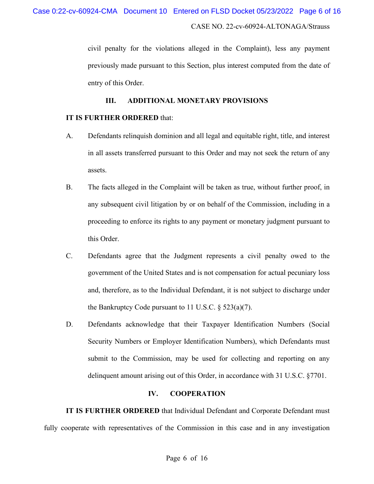previously made pursuant to this Section, plus interest computed from the date of civil penalty for the violations alleged in the Complaint), less any payment entry of this Order.

#### **III. III. ADDITIONAL MONETARY PROVISIONS**

# **IT IS FURTHER ORDERED** that:

- A. Defendants relinquish dominion and all legal and equitable right, title, and interest in all assets transferred pursuant to this Order and may not seek the return of any assets.
- B. The facts alleged in the Complaint will be taken as true, without further proof, in any subsequent civil litigation by or on behalf of the Commission, including in a proceeding to enforce its rights to any payment or monetary judgment pursuant to this Order.
- C. Defendants agree that the Judgment represents a civil penalty owed to the government of the United States and is not compensation for actual pecuniary loss and, therefore, as to the Individual Defendant, it is not subject to discharge under the Bankruptcy Code pursuant to 11 U.S.C.  $\S$  523(a)(7).
- Security Numbers or Employer Identification Numbers), which Defendants must D. Defendants acknowledge that their Taxpayer Identification Numbers (Social submit to the Commission, may be used for collecting and reporting on any delinquent amount arising out of this Order, in accordance with 31 U.S.C. §7701.

#### **IV. COOPERATION**

**IT IS FURTHER ORDERED** that Individual Defendant and Corporate Defendant must fully cooperate with representatives of the Commission in this case and in any investigation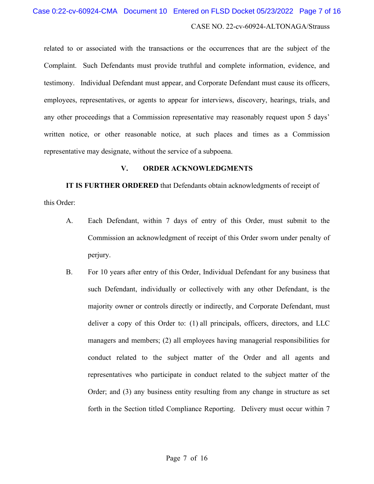related to or associated with the transactions or the occurrences that are the subject of the Complaint. Such Defendants must provide truthful and complete information, evidence, and testimony. Individual Defendant must appear, and Corporate Defendant must cause its officers, employees, representatives, or agents to appear for interviews, discovery, hearings, trials, and any other proceedings that a Commission representative may reasonably request upon 5 days' written notice, or other reasonable notice, at such places and times as a Commission representative may designate, without the service of a subpoena.

#### **V**. **V. ORDER ACKNOWLEDGMENTS**

**IT IS FURTHER ORDERED** that Defendants obtain acknowledgments of receipt of this Order:

- A. Each Defendant, within 7 days of entry of this Order, must submit to the Commission an acknowledgment of receipt of this Order sworn under penalty of perjury.
- B. For 10 years after entry of this Order, Individual Defendant for any business that deliver a copy of this Order to: (1) all principals, officers, directors, and LLC conduct related to the subject matter of the Order and all agents and representatives who participate in conduct related to the subject matter of the Order; and (3) any business entity resulting from any change in structure as set forth in the Section titled Compliance Reporting. Delivery must occur within 7 such Defendant, individually or collectively with any other Defendant, is the majority owner or controls directly or indirectly, and Corporate Defendant, must managers and members; (2) all employees having managerial responsibilities for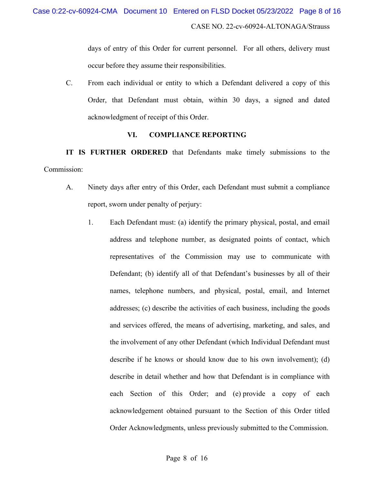days of entry of this Order for current personnel. For all others, delivery must occur before they assume their responsibilities.

C. From each individual or entity to which a Defendant delivered a copy of this Order, that Defendant must obtain, within 30 days, a signed and dated acknowledgment of receipt of this Order.

#### **VI. COMPLIANCE REPORTING**

**IT IS FURTHER ORDERED** that Defendants make timely submissions to the Commission:

- A. Ninety days after entry of this Order, each Defendant must submit a compliance report, sworn under penalty of perjury:
	- addresses; (c) describe the activities of each business, including the goods the involvement of any other Defendant (which Individual Defendant must describe if he knows or should know due to his own involvement); (d) describe in detail whether and how that Defendant is in compliance with 1. Each Defendant must: (a) identify the primary physical, postal, and email address and telephone number, as designated points of contact, which representatives of the Commission may use to communicate with Defendant; (b) identify all of that Defendant's businesses by all of their names, telephone numbers, and physical, postal, email, and Internet and services offered, the means of advertising, marketing, and sales, and each Section of this Order; and (e) provide a copy of each acknowledgement obtained pursuant to the Section of this Order titled Order Acknowledgments, unless previously submitted to the Commission.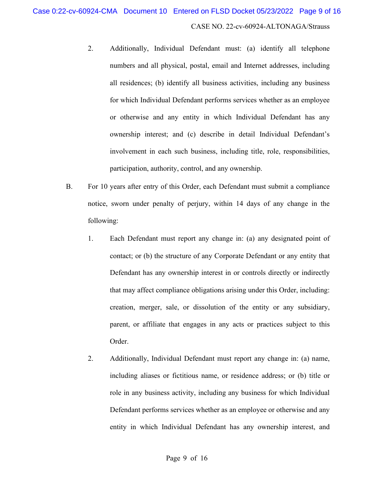- 2. Additionally, Individual Defendant must: (a) identify all telephone numbers and all physical, postal, email and Internet addresses, including all residences; (b) identify all business activities, including any business for which Individual Defendant performs services whether as an employee or otherwise and any entity in which Individual Defendant has any ownership interest; and (c) describe in detail Individual Defendant's involvement in each such business, including title, role, responsibilities, participation, authority, control, and any ownership.
- B. For 10 years after entry of this Order, each Defendant must submit a compliance notice, sworn under penalty of perjury, within 14 days of any change in the following:
	- following:<br>1. Each Defendant must report any change in: (a) any designated point of contact; or (b) the structure of any Corporate Defendant or any entity that Defendant has any ownership interest in or controls directly or indirectly that may affect compliance obligations arising under this Order, including: creation, merger, sale, or dissolution of the entity or any subsidiary, parent, or affiliate that engages in any acts or practices subject to this Order.
	- 2. Additionally, Individual Defendant must report any change in: (a) name, including aliases or fictitious name, or residence address; or (b) title or role in any business activity, including any business for which Individual Defendant performs services whether as an employee or otherwise and any entity in which Individual Defendant has any ownership interest, and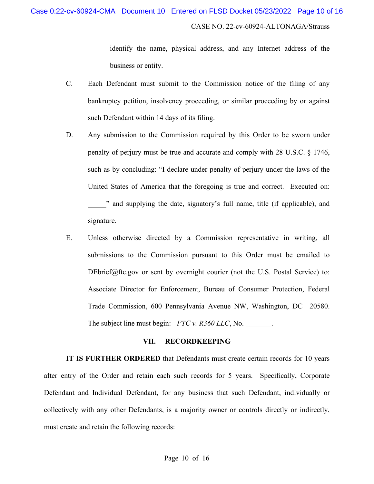identify the name, physical address, and any Internet address of the business or entity.

- C. Each Defendant must submit to the Commission notice of the filing of any bankruptcy petition, insolvency proceeding, or similar proceeding by or against such Defendant within 14 days of its filing.
- United States of America that the foregoing is true and correct. Executed on: D. Any submission to the Commission required by this Order to be sworn under penalty of perjury must be true and accurate and comply with 28 U.S.C. § 1746, such as by concluding: "I declare under penalty of perjury under the laws of the " and supplying the date, signatory's full name, title (if applicable), and signature.
- submissions to the Commission pursuant to this Order must be emailed to DEbrief@ftc.gov or sent by overnight courier (not the U.S. Postal Service) to: [DEbrief@ftc.gov](mailto:DEbrief@ftc.gov) or sent by overnight courier (not the U.S. Postal Service) to: Associate Director for Enforcement, Bureau of Consumer Protection, Federal Trade Commission, 600 Pennsylvania Avenue NW, Washington, DC 20580. Trade Commission, 600 Pennsylvania Avenue NW, Washington, DC 20580.<br>The subject line must begin: *FTC v. R360 LLC*, No. \_\_\_\_\_\_\_. E. Unless otherwise directed by a Commission representative in writing, all

#### **VII. RECORDKEEPING**

**IT IS FURTHER ORDERED** that Defendants must create certain records for 10 years after entry of the Order and retain each such records for 5 years. Specifically, Corporate Defendant and Individual Defendant, for any business that such Defendant, individually or collectively with any other Defendants, is a majority owner or controls directly or indirectly, must create and retain the following records: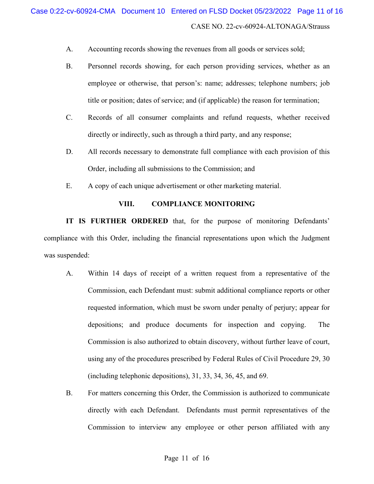- A. Accounting records showing the revenues from all goods or services sold;
- B. Personnel records showing, for each person providing services, whether as an employee or otherwise, that person's: name; addresses; telephone numbers; job title or position; dates of service; and (if applicable) the reason for termination;
- C. Records of all consumer complaints and refund requests, whether received directly or indirectly, such as through a third party, and any response;
- D. All records necessary to demonstrate full compliance with each provision of this Order, including all submissions to the Commission; and
- E. A copy of each unique advertisement or other marketing material.

## **VIII. COMPLIANCE MONITORING**

**IT IS FURTHER ORDERED** that, for the purpose of monitoring Defendants' compliance with this Order, including the financial representations upon which the Judgment was suspended:

- A. Within 14 days of receipt of a written request from a representative of the Commission, each Defendant must: submit additional compliance reports or other requested information, which must be sworn under penalty of perjury; appear for depositions; and produce documents for inspection and copying. The Commission is also authorized to obtain discovery, without further leave of court, using any of the procedures prescribed by Federal Rules of Civil Procedure 29, 30 (including telephonic depositions), 31, 33, 34, 36, 45, and 69.
- B. For matters concerning this Order, the Commission is authorized to communicate directly with each Defendant. Defendants must permit representatives of the Commission to interview any employee or other person affiliated with any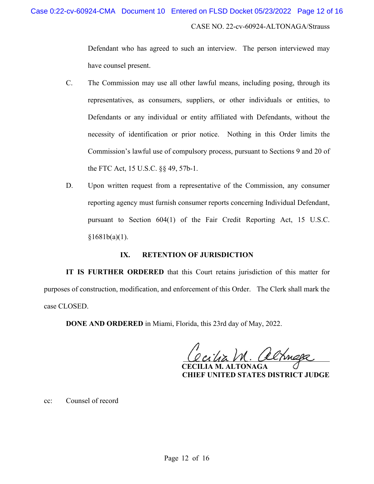Defendant who has agreed to such an interview. The person interviewed may have counsel present.

- necessity of identification or prior notice. Nothing in this Order limits the the FTC Act, 15 U.S.C. §§ 49, 57b-1. C. The Commission may use all other lawful means, including posing, through its representatives, as consumers, suppliers, or other individuals or entities, to Defendants or any individual or entity affiliated with Defendants, without the Commission's lawful use of compulsory process, pursuant to Sections 9 and 20 of
- D. Upon written request from a representative of the Commission, any consumer reporting agency must furnish consumer reports concerning Individual Defendant, pursuant to Section 604(1) of the Fair Credit Reporting Act, 15 U.S.C.  $$1681b(a)(1)$ .

# **IX. RETENTION OF JURISDICTION**

 purposes of construction, modification, and enforcement of this Order. The Clerk shall mark the **IT IS FURTHER ORDERED** that this Court retains jurisdiction of this matter for case CLOSED.

**DONE AND ORDERED** in Miami, Florida, this 23rd day of May, 2022.

1.x In. Pechnaea

**CECILIA M. ALTONAGA CHIEF UNITED STATES DISTRICT JUDGE** 

cc: Counsel of record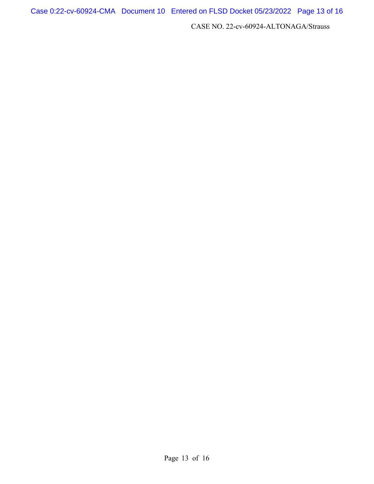CASE NO. 22-cv-60924-ALTONAGA/Strauss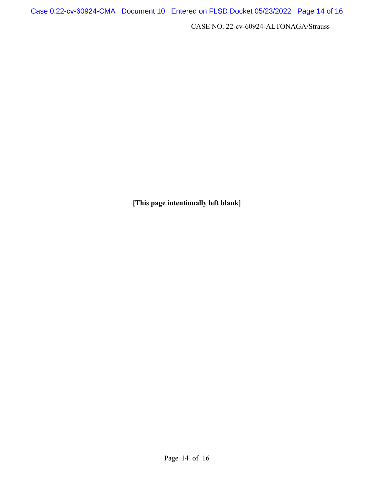CASE NO. 22-cv-60924-ALTONAGA/Strauss

**[This page intentionally left blank]**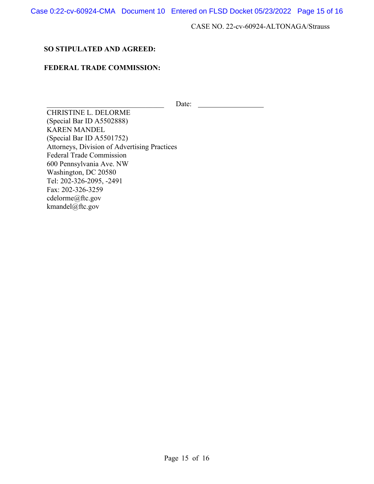Case 0:22-cv-60924-CMA Document 10 Entered on FLSD Docket 05/23/2022 Page 15 of 16

CASE NO. 22-cv-60924-ALTONAGA/Strauss

## **SO STIPULATED AND AGREED:**

# **FEDERAL TRADE COMMISSION:**

Date:

CHRISTINE L. DELORME \_\_\_\_\_\_\_\_\_\_\_\_\_\_\_\_\_\_\_\_\_\_\_\_\_\_\_\_\_\_\_\_ Date: CHRISTINE L. DELORME (Special Bar ID A5502888) (Special Bar ID A5501752) KAREN MANDEL Attorneys, Division of Advertising Practices Federal Trade Commission 600 Pennsylvania Ave. NW Washington, DC 20580 Tel: 202-326-2095, -2491 Fax: 202-326-3259 [cdelorme@ftc.gov](mailto:cdelorme@ftc.gov)  [kmandel@ftc.gov](mailto:kmandel@ftc.gov)